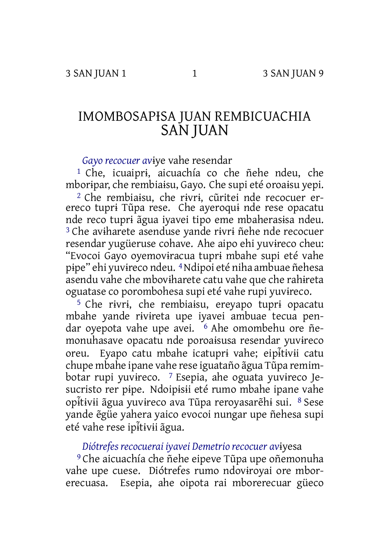# IMOMBOSAPƗSA JUAN REMBICUACHIA SAN JUAN

*Gayo recocuer av*ɨye vahe resendar

1 Che, icuaiprɨ, aicuachía co che ñehe ndeu, che mborɨpar, che rembiaɨsu, Gayo. Che supi eté oroaɨsu yepi. 2 Che rembiaɨsu, che rɨvrɨ, cũritei nde recocuer erereco tuprɨ Tũpa rese. Che ayeroquɨ nde rese opacatu nde reco tuprɨ ãgua iyavei tipo eme mbaherasɨsa ndeu. 3 Che avɨharete asenduse yande rɨvrɨ ñehe nde recocuer resendar yugüeruse cohave. Ahe aipo ehi yuvɨreco cheu: "Evocoi Gayo oyemovɨracua tuprɨ mbahe supi eté vahe pɨpe" ehi yuvɨreco ndeu. 4Ndipoi eté niha ambuae ñehesa asendu vahe che mbovɨharete catu vahe que che rahɨreta oguatase co porombohesa supi eté vahe rupi yuvɨreco.

5 Che rɨvrɨ, che rembiaɨsu, ereyapo tuprɨ opacatu mbahe yande rɨvɨreta upe iyavei ambuae tecua pendar oyepota vahe upe avei. 6 Ahe omombehu ore ñemonuhasave opacatu nde poroaɨsusa resendar yuvɨreco oreu. Eyapo catu mbahe icatuprɨ vahe; eipɨ ̃tɨvɨi catu chupe mbahe ipane vahe rese iguataño ãgua Tũpa remimbotar rupi yuvɨreco. 7 Esepia, ahe oguata yuvɨreco Jesucristo rer pipe. Ndoipisii eté rumo mbahe ipane vahe opɨ ̃tɨvɨi ãgua yuvɨreco ava Tũpa reroyasarẽhɨ sui. <sup>8</sup> Sese yande ẽgüe yahera yaico evocoi nungar upe ñehesa supi eté vahe rese ip<del>itivii</del> agua.

*Diótrefes recocuerai iyavei Demetrio recocuer av*ɨyesa

9 Che aicuachía che ñehe eipeve Tũpa upe oñemonuha vahe upe cuese. Diótrefes rumo ndovɨroyai ore mborerecuasa. Esepia, ahe oipota rai mborerecuar güeco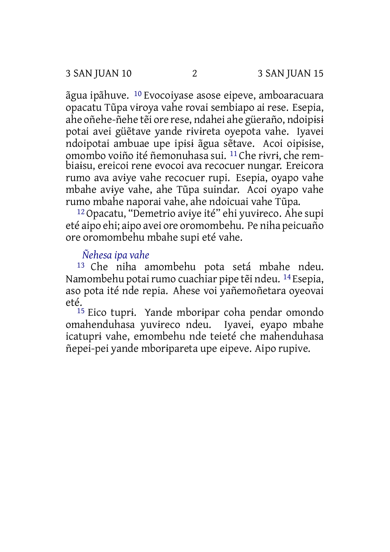ãgua ipãhuve. 10 Evocoiyase asose eipeve, amboaracuara opacatu Tũpa vɨroya vahe rovai sembiapo ai rese. Esepia, ahe oñehe-ñehe tẽi ore rese, ndahei ahe güeraño, ndoipɨsɨ potai avei güẽtave yande rɨvɨreta oyepota vahe. Iyavei ndoipotai ambuae upe ipɨsɨ ãgua sẽtave. Acoi oipɨsɨse, omombo voiño ité ñemonuhasa sui. 11 Che rɨvrɨ, che rembiaɨsu, ereicoi rene evocoi ava recocuer nungar. Ereicora rumo ava avɨye vahe recocuer rupi. Esepia, oyapo vahe mbahe avɨye vahe, ahe Tũpa suindar. Acoi oyapo vahe rumo mbahe naporai vahe, ahe ndoicuai vahe Tũpa.

12Opacatu, "Demetrio avɨye ité" ehi yuvɨreco. Ahe supi eté aipo ehi; aipo avei ore oromombehu. Pe niha peicuaño ore oromombehu mbahe supi eté vahe.

## *Ñehesa ipa vahe*

13 Che niha amombehu pota setá mbahe ndeu. Namombehu potai rumo cuachiar pipe tẽi ndeu. <sup>14</sup> Esepia, aso pota ité nde repia. Ahese voi yañemoñetara oyeovai eté.

15 Eico tuprɨ. Yande mborɨpar coha pendar omondo omahenduhasa yuvɨreco ndeu. Iyavei, eyapo mbahe icatuprɨ vahe, emombehu nde teieté che mahenduhasa ñepei-pei yande mborɨpareta upe eipeve. Aipo rupive.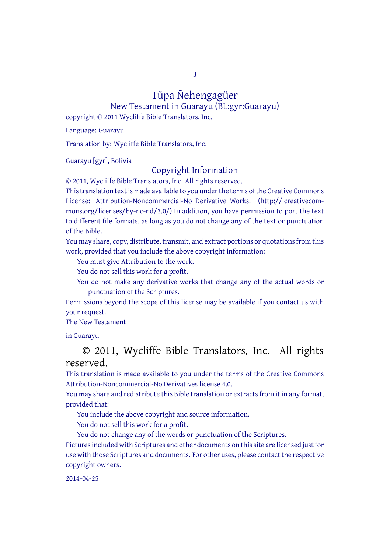3

# Tũpa Ñehengagüer

New Testament in Guarayu (BL:gyr:Guarayu) copyright © 2011 Wycliffe Bible Translators, Inc.

Language: Guarayu

Translation by: Wycliffe Bible Translators, Inc.

Guarayu [gyr], Bolivia

### Copyright Information

© 2011, Wycliffe Bible Translators, Inc. All rights reserved.

This translation text is made available to you under the terms of the Creative [Commons](http://creativecommons.org/licenses/by-nc-nd/4.0/) License: [Attribution-Noncommercial-No](http://creativecommons.org/licenses/by-nc-nd/4.0/) Derivative Works. (http:// creativecommons.org/licenses/by-nc-nd/3.0/) In addition, you have permission to port the text to different file formats, as long as you do not change any of the text or punctuation of the Bible.

You may share, copy, distribute, transmit, and extract portions or quotations from this work, provided that you include the above copyright information:

You must give Attribution to the work.

You do not sell this work for a profit.

You do not make any derivative works that change any of the actual words or punctuation of the Scriptures.

Permissions beyond the scope of this license may be available if you contact us with your request.

#### The New Testament

in Guarayu

## © 2011, Wycliffe Bible Translators, Inc. All rights reserved.

This translation is made available to you under the terms of the Creative Commons Attribution-Noncommercial-No Derivatives license 4.0.

You may share and redistribute this Bible translation or extracts from it in any format, provided that:

You include the above copyright and source information.

You do not sell this work for a profit.

You do not change any of the words or punctuation of the Scriptures. Pictures included with Scriptures and other documents on this site are licensed just for use with those Scriptures and documents. For other uses, please contact the respective copyright owners.

#### 2014-04-25